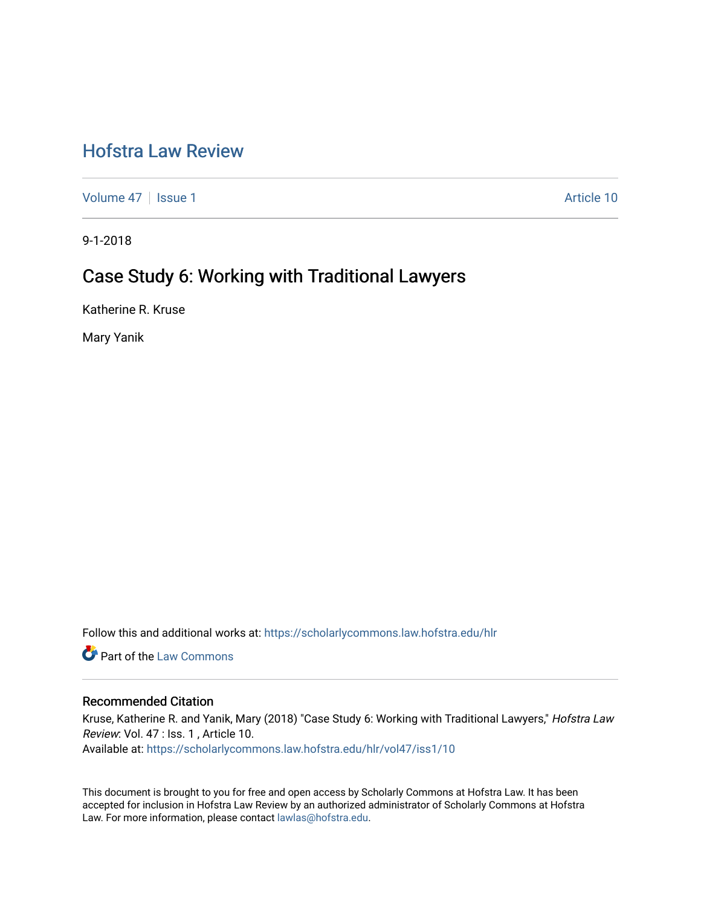# [Hofstra Law Review](https://scholarlycommons.law.hofstra.edu/hlr)

[Volume 47](https://scholarlycommons.law.hofstra.edu/hlr/vol47) | [Issue 1](https://scholarlycommons.law.hofstra.edu/hlr/vol47/iss1) Article 10

9-1-2018

# Case Study 6: Working with Traditional Lawyers

Katherine R. Kruse

Mary Yanik

Follow this and additional works at: [https://scholarlycommons.law.hofstra.edu/hlr](https://scholarlycommons.law.hofstra.edu/hlr?utm_source=scholarlycommons.law.hofstra.edu%2Fhlr%2Fvol47%2Fiss1%2F10&utm_medium=PDF&utm_campaign=PDFCoverPages)

Part of the [Law Commons](http://network.bepress.com/hgg/discipline/578?utm_source=scholarlycommons.law.hofstra.edu%2Fhlr%2Fvol47%2Fiss1%2F10&utm_medium=PDF&utm_campaign=PDFCoverPages)

## Recommended Citation

Kruse, Katherine R. and Yanik, Mary (2018) "Case Study 6: Working with Traditional Lawyers," Hofstra Law Review: Vol. 47 : Iss. 1 , Article 10.

Available at: [https://scholarlycommons.law.hofstra.edu/hlr/vol47/iss1/10](https://scholarlycommons.law.hofstra.edu/hlr/vol47/iss1/10?utm_source=scholarlycommons.law.hofstra.edu%2Fhlr%2Fvol47%2Fiss1%2F10&utm_medium=PDF&utm_campaign=PDFCoverPages) 

This document is brought to you for free and open access by Scholarly Commons at Hofstra Law. It has been accepted for inclusion in Hofstra Law Review by an authorized administrator of Scholarly Commons at Hofstra Law. For more information, please contact [lawlas@hofstra.edu.](mailto:lawlas@hofstra.edu)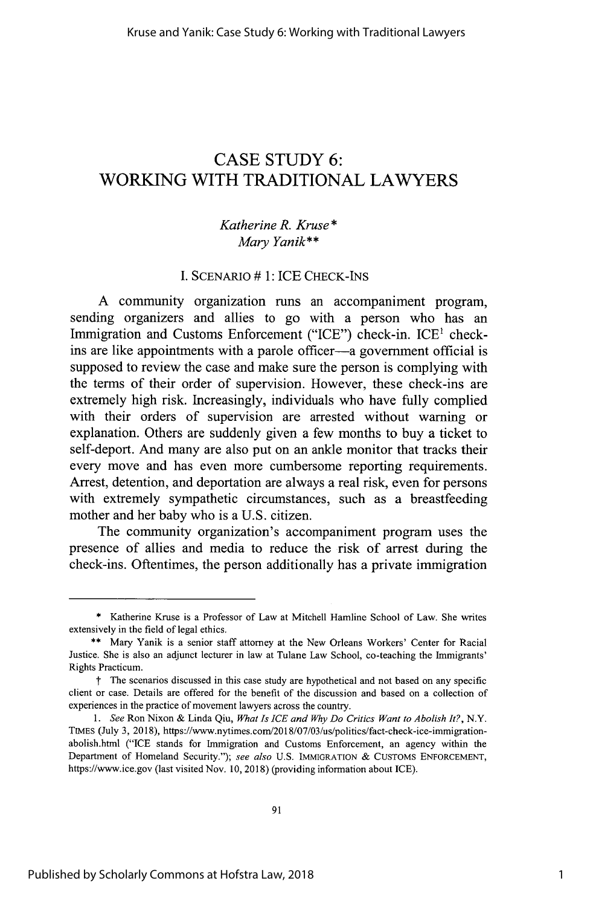## **CASE STUDY 6:** WORKING WITH TRADITIONAL LAWYERS

## *Katherine R. Kruse\* Mary Yanik\*\**

## I. SCENARIO # 1: ICE CHECK-INS

A community organization runs an accompaniment program, sending organizers and allies to go with a person who has an Immigration and Customs Enforcement ("ICE") check-in. ICE<sup>1</sup> checkins are like appointments with a parole officer-a government official is supposed to review the case and make sure the person is complying with the terms of their order of supervision. However, these check-ins are extremely high risk. Increasingly, individuals who have fully complied with their orders of supervision are arrested without warning or explanation. Others are suddenly given a few months to buy a ticket to self-deport. And many are also put on an ankle monitor that tracks their every move and has even more cumbersome reporting requirements. Arrest, detention, and deportation are always a real risk, even for persons with extremely sympathetic circumstances, such as a breastfeeding mother and her baby who is a U.S. citizen.

The community organization's accompaniment program uses the presence of allies and media to reduce the risk of arrest during the check-ins. Oftentimes, the person additionally has a private immigration

<sup>\*</sup> Katherine Kruse is a Professor of Law at Mitchell Hamline School of Law. She writes extensively in the field of legal ethics.

**<sup>\*\*</sup>** Mary Yanik is a senior staff attorney at the New Orleans Workers' Center for Racial Justice. She is also an adjunct lecturer in law at Tulane Law School, co-teaching the Immigrants' Rights Practicum.

t The scenarios discussed in this case study are hypothetical and not based on any specific client or case. Details are offered for the benefit of the discussion and based on a collection of experiences in the practice of movement lawyers across the country.

*<sup>1.</sup> See* Ron Nixon & Linda Qiu, *What Is ICE and Why Do Critics Want to Abolish It?,* N.Y. TIMES (July 3, 2018), https://www.nytimes.com/2018/07/03/us/politics/fact-check-ice-immigrationabolish.html ("ICE stands for Immigration and Customs Enforcement, an agency within the Department of Homeland Security."); *see also* U.S. **IMMIGRATION &** CUSTOMS ENFORCEMENT, https://www.ice.gov (last visited Nov. 10, 2018) (providing information about ICE).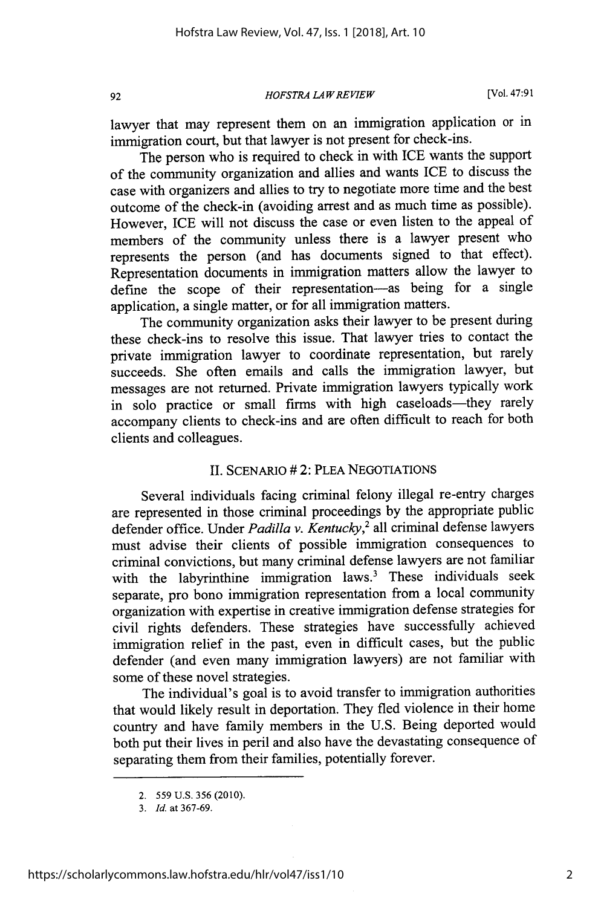*HOFSTRA LA W REVIEW*

lawyer that may represent them on an immigration application or in immigration court, but that lawyer is not present for check-ins.

The person who is required to check in with ICE wants the support of the community organization and allies and wants ICE to discuss the case with organizers and allies to try to negotiate more time and the best outcome of the check-in (avoiding arrest and as much time as possible). However, ICE will not discuss the case or even listen to the appeal of members of the community unless there is a lawyer present who represents the person (and has documents signed to that effect). Representation documents in immigration matters allow the lawyer to define the scope of their representation-as being for a single application, a single matter, or for all immigration matters.

The community organization asks their lawyer to be present during these check-ins to resolve this issue. That lawyer tries to contact the private immigration lawyer to coordinate representation, but rarely succeeds. She often emails and calls the immigration lawyer, but messages are not returned. Private immigration lawyers typically work in solo practice or small firms with high caseloads-they rarely accompany clients to check-ins and are often difficult to reach for both clients and colleagues.

## II. SCENARIO # 2: PLEA NEGOTIATIONS

Several individuals facing criminal felony illegal re-entry charges are represented in those criminal proceedings by the appropriate public defender office. Under *Padilla v. Kentucky*,<sup>2</sup> all criminal defense lawyers must advise their clients of possible immigration consequences to criminal convictions, but many criminal defense lawyers are not familiar with the labyrinthine immigration laws.<sup>3</sup> These individuals seek separate, pro bono immigration representation from a local community organization with expertise in creative immigration defense strategies for civil rights defenders. These strategies have successfully achieved immigration relief in the past, even in difficult cases, but the public defender (and even many immigration lawyers) are not familiar with some of these novel strategies.

The individual's goal is to avoid transfer to immigration authorities that would likely result in deportation. They fled violence in their home country and have family members in the U.S. Being deported would both put their lives in peril and also have the devastating consequence of separating them from their families, potentially forever.

92

<sup>2.</sup> **559** U.S. 356 (2010).

<sup>3.</sup> *Id.* at 367-69.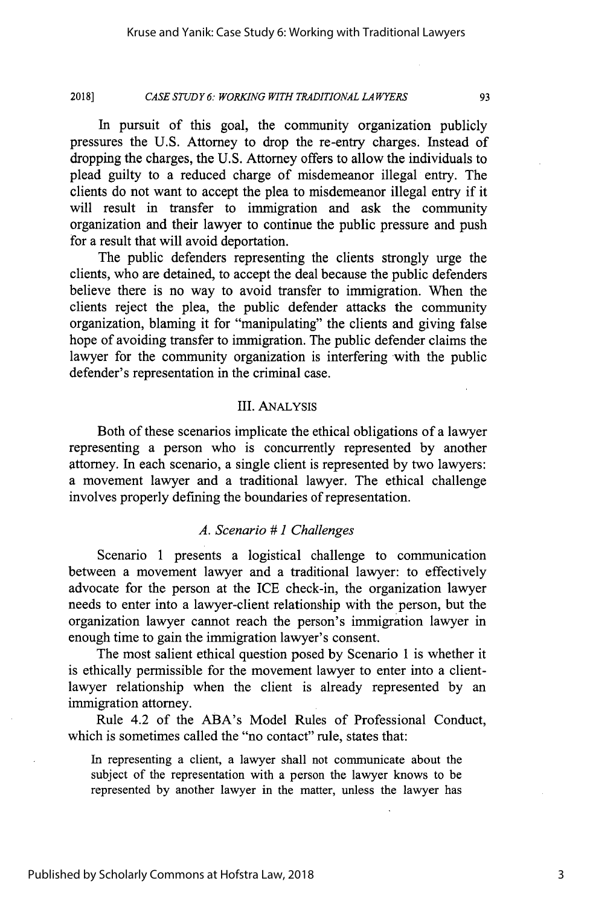#### *CASE STUDY 6: WORKING WITH TRADITIONAL LAWYERS* **20181**

In pursuit of this goal, the community organization publicly pressures the **U.S.** Attorney to drop the re-entry charges. Instead of dropping the charges, the **U.S.** Attorney offers to allow the individuals to plead guilty to a reduced charge of misdemeanor illegal entry. The clients do not want to accept the plea to misdemeanor illegal entry if it will result in transfer to immigration and ask the community organization and their lawyer to continue the public pressure and push for a result that will avoid deportation.

The public defenders representing the clients strongly urge the clients, who are detained, to accept the deal because the public defenders believe there is no way to avoid transfer to immigration. When the clients reject the plea, the public defender attacks the community organization, blaming it for "manipulating" the clients and giving false hope of avoiding transfer to immigration. The public defender claims the lawyer for the community organization is interfering with the public defender's representation in the criminal case.

## **III.** ANALYSIS

Both of these scenarios implicate the ethical obligations of a lawyer representing a person who is concurrently represented **by** another attorney. In each scenario, a single client is represented **by** two lawyers: a movement lawyer and a traditional lawyer. The ethical challenge involves properly defining the boundaries of representation.

## *A. Scenario # 1 Challenges*

Scenario **1** presents a logistical challenge to communication between a movement lawyer and a traditional lawyer: to effectively advocate for the person at the **ICE** check-in, the organization lawyer needs to enter into a lawyer-client relationship with the person, but the organization lawyer cannot reach the person's immigration lawyer in enough time to gain the immigration lawyer's consent.

The most salient ethical question posed **by** Scenario **1** is whether it is ethically permissible for the movement lawyer to enter into a clientlawyer relationship when the client is already represented **by** an immigration attorney.

Rule 4.2 of the ABA's Model Rules of Professional Conduct, which is sometimes called the "no contact" rule, states that:

In representing a client, a lawyer shall not communicate about the subject of the representation with a person the lawyer knows to be represented **by** another lawyer in the matter, unless the lawyer has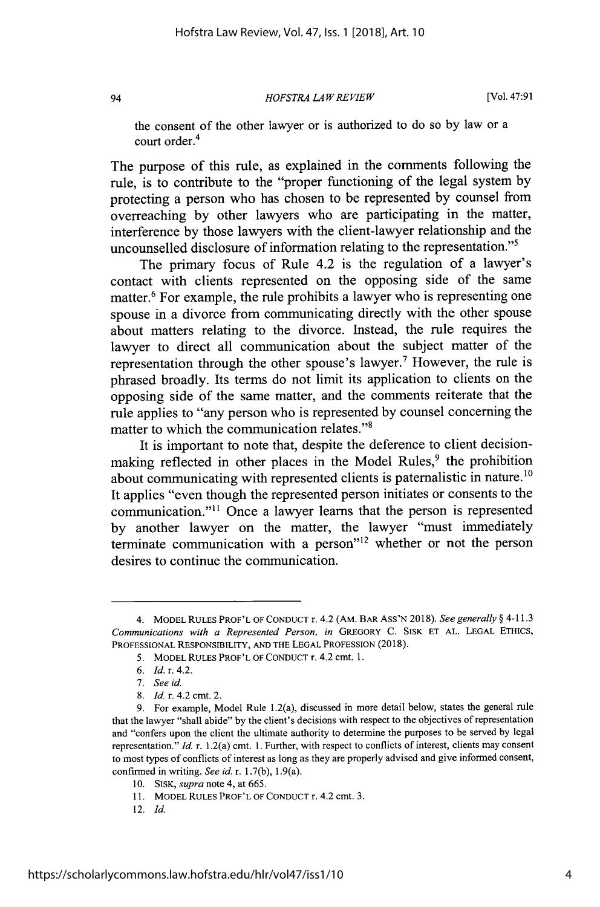### *HOFSTRA LA W REVIEW*

[Vol. 47:91

the consent of the other lawyer or is authorized to do so by law or a court order.<sup>4</sup>

The purpose of this rule, as explained in the comments following the rule, is to contribute to the "proper functioning of the legal system by protecting a person who has chosen to be represented by counsel from overreaching by other lawyers who are participating in the matter, interference by those lawyers with the client-lawyer relationship and the uncounselled disclosure of information relating to the representation."<sup>5</sup>

The primary focus of Rule 4.2 is the regulation of a lawyer's contact with clients represented on the opposing side of the same matter.<sup>6</sup> For example, the rule prohibits a lawyer who is representing one spouse in a divorce from communicating directly with the other spouse about matters relating to the divorce. Instead, the rule requires the lawyer to direct all communication about the subject matter of the representation through the other spouse's lawyer.<sup>7</sup> However, the rule is phrased broadly. Its terms do not limit its application to clients on the opposing side of the same matter, and the comments reiterate that the rule applies to "any person who is represented by counsel concerning the matter to which the communication relates."<sup>8</sup>

It is important to note that, despite the deference to client decisionmaking reflected in other places in the Model Rules,<sup>9</sup> the prohibition about communicating with represented clients is paternalistic in nature.<sup>10</sup> It applies "even though the represented person initiates or consents to the communication."<sup>11</sup> Once a lawyer learns that the person is represented by another lawyer on the matter, the lawyer "must immediately terminate communication with a person<sup> $12$ </sup> whether or not the person desires to continue the communication.

94

12. *Id.*

<sup>4.</sup> MODEL RULES PROF'L OF CONDUCT r. 4.2 (AM. BAR ASS'N 2018). *See generally §* 4-11.3 *Communications with a Represented Person, in* GREGORY C. SISK ET AL. LEGAL ETHICS, PROFESSIONAL RESPONSIBILITY, AND THE LEGAL PROFESSION (2018).

<sup>5.</sup> MODEL RULES PROF'L OF CONDUCT r. 4.2 cmt. 1.

<sup>6.</sup> *Id.* r. 4.2.

<sup>7.</sup> *See id.*

<sup>8.</sup> *Id.* r. 4.2 cmt. 2.

<sup>9.</sup> For example, Model Rule 1.2(a), discussed in more detail below, states the general rule that the lawyer "shall abide" by the client's decisions with respect to the objectives of representation and "confers upon the client the ultimate authority to determine the purposes to be served by legal representation." *Id.* r. 1.2(a) cmt. 1. Further, with respect to conflicts of interest, clients may consent to most types of conflicts of interest as long as they are properly advised and give informed consent, confirmed in writing. *See id.* r. 1.7(b), 1.9(a).

<sup>10.</sup> SISK, *supra* note 4, at 665.

<sup>11.</sup> MODEL RULES PROF'L OF CONDUCT r. 4.2 cmt. 3.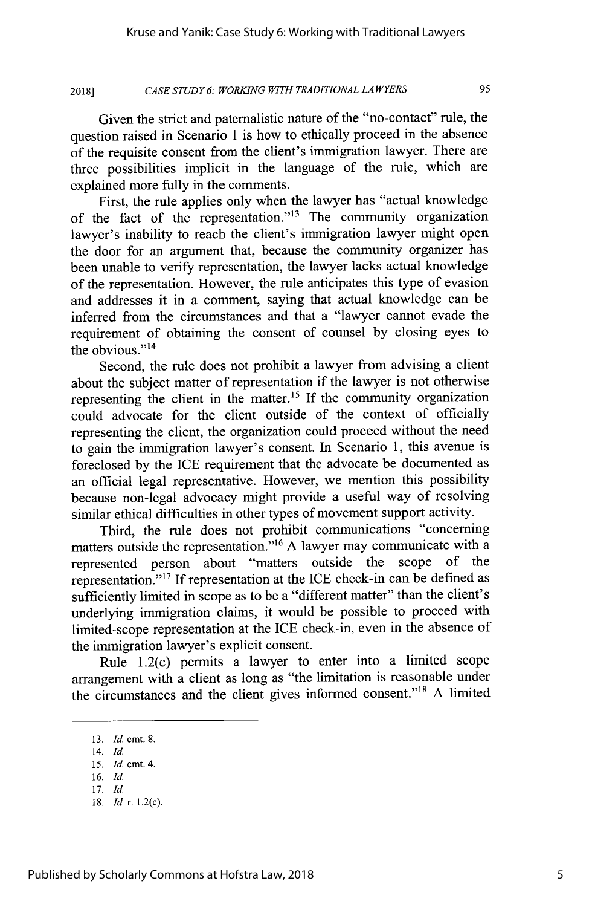#### *CASE STUDY 6: WORKING WITH TRADITIONAL LAWYERS* **2018]**

Given the strict and paternalistic nature of the "no-contact" rule, the question raised in Scenario 1 is how to ethically proceed in the absence of the requisite consent from the client's immigration lawyer. There are three possibilities implicit in the language of the rule, which are explained more fully in the comments.

First, the rule applies only when the lawyer has "actual knowledge of the fact of the representation."13 The community organization lawyer's inability to reach the client's immigration lawyer might open the door for an argument that, because the community organizer has been unable to verify representation, the lawyer lacks actual knowledge of the representation. However, the rule anticipates this type of evasion and addresses it in a comment, saying that actual knowledge can be inferred from the circumstances and that a "lawyer cannot evade the requirement of obtaining the consent of counsel by closing eyes to the obvious."<sup>14</sup>

Second, the rule does not prohibit a lawyer from advising a client about the subject matter of representation if the lawyer is not otherwise representing the client in the matter.<sup>15</sup> If the community organization could advocate for the client outside of the context of officially representing the client, the organization could proceed without the need to gain the immigration lawyer's consent. In Scenario 1, this avenue is foreclosed by the ICE requirement that the advocate be documented as an official legal representative. However, we mention this possibility because non-legal advocacy might provide a useful way of resolving similar ethical difficulties in other types of movement support activity.

Third, the rule does not prohibit communications "concerning matters outside the representation."<sup>16</sup> A lawyer may communicate with a represented person about "matters outside the scope of the representation."<sup>17</sup> If representation at the ICE check-in can be defined as sufficiently limited in scope as to be a "different matter" than the client's underlying immigration claims, it would be possible to proceed with limited-scope representation at the ICE check-in, even in the absence of the immigration lawyer's explicit consent.

Rule 1.2(c) permits a lawyer to enter into a limited scope arrangement with a client as long as "the limitation is reasonable under the circumstances and the client gives informed consent."<sup>18</sup> A limited

<sup>13.</sup> *Id.* cmt. 8.

<sup>14.</sup> Id. *15. Id.* cmt. 4.

<sup>16.</sup> Id.

<sup>17.</sup> Id.

<sup>18.</sup> *Id.* r. 1.2(c).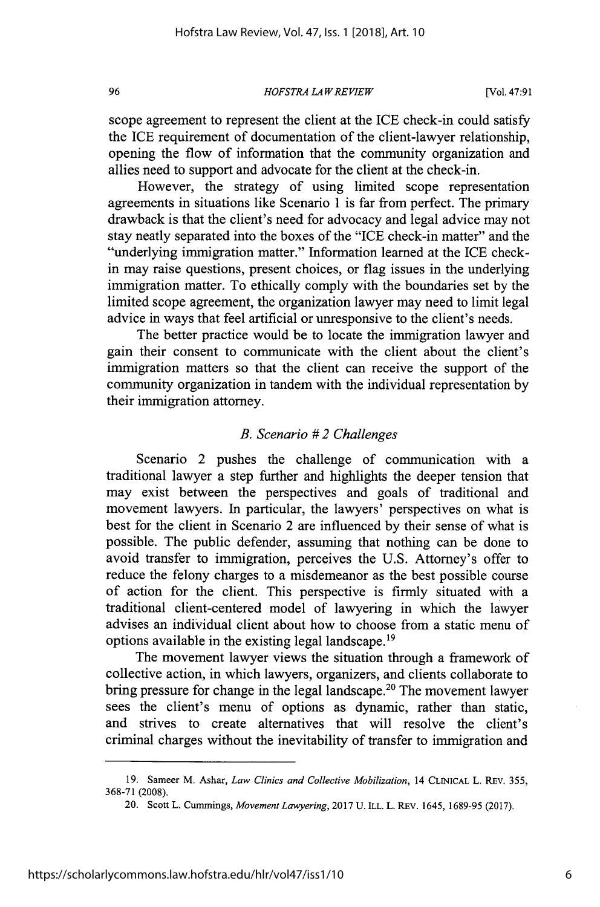*HOFSTRA LA WREVIEW*

scope agreement to represent the client at the ICE check-in could satisfy the ICE requirement of documentation of the client-lawyer relationship, opening the flow of information that the community organization and allies need to support and advocate for the client at the check-in.

However, the strategy of using limited scope representation agreements in situations like Scenario 1 is far from perfect. The primary drawback is that the client's need for advocacy and legal advice may not stay neatly separated into the boxes of the "ICE check-in matter" and the "underlying immigration matter." Information learned at the ICE checkin may raise questions, present choices, or flag issues in the underlying immigration matter. To ethically comply with the boundaries set by the limited scope agreement, the organization lawyer may need to limit legal advice in ways that feel artificial or unresponsive to the client's needs.

The better practice would be to locate the immigration lawyer and gain their consent to communicate with the client about the client's immigration matters so that the client can receive the support of the community organization in tandem with the individual representation by their immigration attorney.

## *B. Scenario # 2 Challenges*

Scenario 2 pushes the challenge of communication with a traditional lawyer a step further and highlights the deeper tension that may exist between the perspectives and goals of traditional and movement lawyers. In particular, the lawyers' perspectives on what is best for the client in Scenario 2 are influenced by their sense of what is possible. The public defender, assuming that nothing can be done to avoid transfer to immigration, perceives the U.S. Attorney's offer to reduce the felony charges to a misdemeanor as the best possible course of action for the client. This perspective is firmly situated with a traditional client-centered model of lawyering in which the lawyer advises an individual client about how to choose from a static menu of options available in the existing legal landscape.<sup>19</sup>

The movement lawyer views the situation through a framework of collective action, in which lawyers, organizers, and clients collaborate to bring pressure for change in the legal landscape.<sup>20</sup> The movement lawyer sees the client's menu of options as dynamic, rather than static, and strives to create alternatives that will resolve the client's criminal charges without the inevitability of transfer to immigration and

<sup>19.</sup> Sameer *M.* Ashar, *Law Clinics and Collective Mobilization,* 14 CLINICAL L. REV. 355, 368-71 (2008).

<sup>20.</sup> Scott L. Cummings, *Movement Lawyering,* 2017 U. ILL. L. REV. 1645, 1689-95 (2017).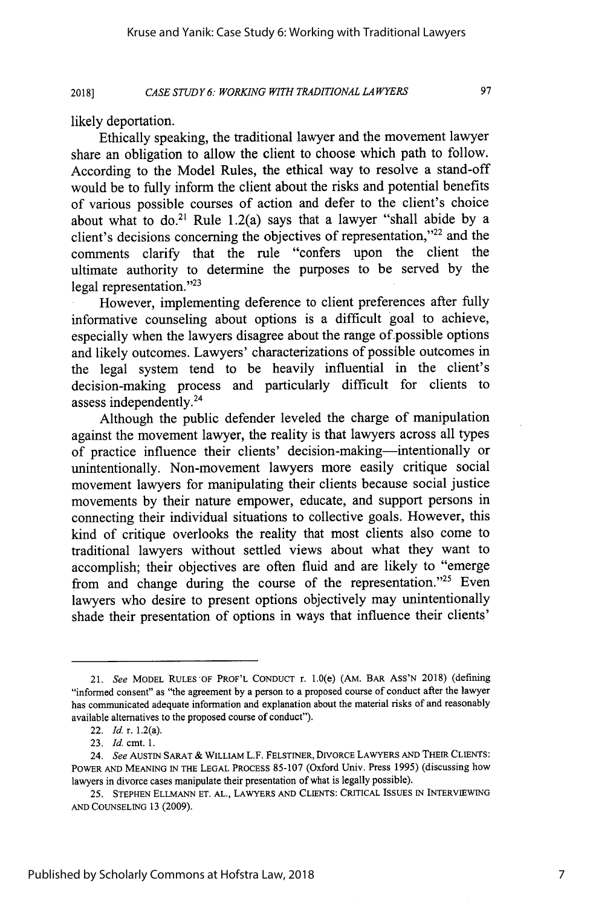*CASE STUDY 6: WORKING WITH TRADITIONAL LAWYERS* **2018]**

97

likely deportation.

Ethically speaking, the traditional lawyer and the movement lawyer share an obligation to allow the client to choose which path to follow. According to the Model Rules, the ethical way to resolve a stand-off would be to fully inform the client about the risks and potential benefits of various possible courses of action and defer to the client's choice about what to do.<sup>21</sup> Rule 1.2(a) says that a lawyer "shall abide by a client's decisions concerning the objectives of representation," $^{22}$  and the comments clarify that the rule "confers upon the client the ultimate authority to determine the purposes to be served by the legal representation."<sup>23</sup>

However, implementing deference to client preferences after fully informative counseling about options is a difficult goal to achieve, especially when the lawyers disagree about the range of possible options and likely outcomes. Lawyers' characterizations of possible outcomes in the legal system tend to be heavily influential in the client's decision-making process and particularly difficult for clients to assess independently.<sup>24</sup>

Although the public defender leveled the charge of manipulation against the movement lawyer, the reality is that lawyers across all types of practice influence their clients' decision-making-intentionally or unintentionally. Non-movement lawyers more easily critique social movement lawyers for manipulating their clients because social justice movements by their nature empower, educate, and support persons in connecting their individual situations to collective goals. However, this kind of critique overlooks the reality that most clients also come to traditional lawyers without settled views about what they want to accomplish; their objectives are often fluid and are likely to "emerge from and change during the course of the representation."<sup>25</sup> Even lawyers who desire to present options objectively may unintentionally shade their presentation of options in ways that influence their clients'

<sup>21.</sup> *See* MODEL **RULES-OF** PROF'L **CONDUCT** r. 1.0(e) (AM. BAR ASS'N 2018) (defining "informed consent" as "the agreement **by** a person to a proposed course of conduct after the lawyer has communicated adequate information and explanation about the material risks of and reasonably available alternatives to the proposed course of conduct").

<sup>22.</sup> *Id.* r. 1.2(a).

<sup>23.</sup> *Id.* cmt. 1.

<sup>24.</sup> *See* AUSTIN SARAT & WILLIAM L.F. **FELSTINER,** DIVORCE LAWYERS **AND** THEIR **CLIENTS:** POWER **AND MEANING** IN THE LEGAL PROCESS 85-107 (Oxford Univ. Press 1995) (discussing how lawyers in divorce cases manipulate their presentation of what is legally possible).

<sup>25.</sup> STEPHEN ELLMANN ET. AL., LAWYERS AND CLIENTS: CRITICAL ISSUES IN INTERVIEWING AND COUNSELING 13 (2009).